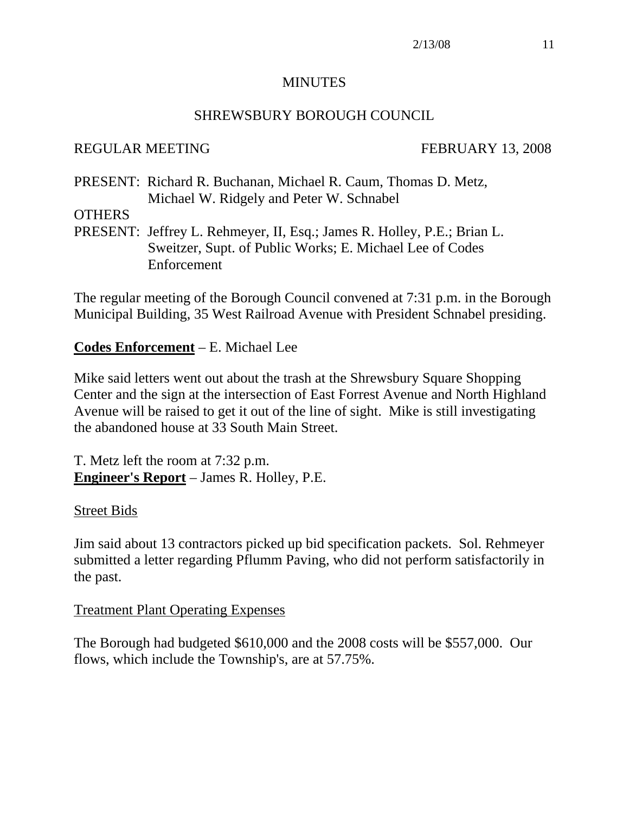#### MINUTES

## SHREWSBURY BOROUGH COUNCIL

## REGULAR MEETING FEBRUARY 13, 2008

PRESENT: Richard R. Buchanan, Michael R. Caum, Thomas D. Metz, Michael W. Ridgely and Peter W. Schnabel

#### **OTHERS**

PRESENT: Jeffrey L. Rehmeyer, II, Esq.; James R. Holley, P.E.; Brian L. Sweitzer, Supt. of Public Works; E. Michael Lee of Codes Enforcement

The regular meeting of the Borough Council convened at 7:31 p.m. in the Borough Municipal Building, 35 West Railroad Avenue with President Schnabel presiding.

## **Codes Enforcement** – E. Michael Lee

Mike said letters went out about the trash at the Shrewsbury Square Shopping Center and the sign at the intersection of East Forrest Avenue and North Highland Avenue will be raised to get it out of the line of sight. Mike is still investigating the abandoned house at 33 South Main Street.

T. Metz left the room at 7:32 p.m. **Engineer's Report** – James R. Holley, P.E.

## Street Bids

Jim said about 13 contractors picked up bid specification packets. Sol. Rehmeyer submitted a letter regarding Pflumm Paving, who did not perform satisfactorily in the past.

## Treatment Plant Operating Expenses

The Borough had budgeted \$610,000 and the 2008 costs will be \$557,000. Our flows, which include the Township's, are at 57.75%.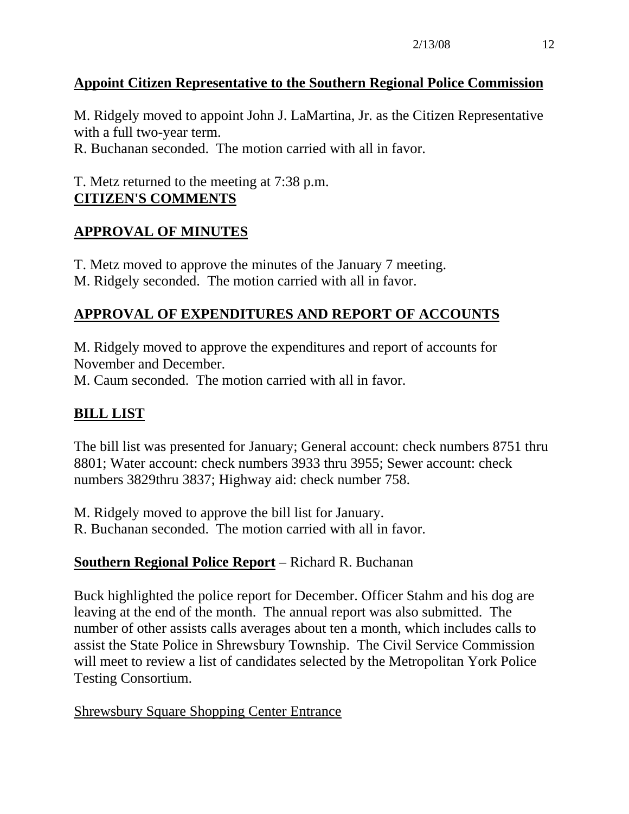# **Appoint Citizen Representative to the Southern Regional Police Commission**

M. Ridgely moved to appoint John J. LaMartina, Jr. as the Citizen Representative with a full two-year term.

R. Buchanan seconded. The motion carried with all in favor.

# T. Metz returned to the meeting at 7:38 p.m. **CITIZEN'S COMMENTS**

# **APPROVAL OF MINUTES**

T. Metz moved to approve the minutes of the January 7 meeting. M. Ridgely seconded. The motion carried with all in favor.

# **APPROVAL OF EXPENDITURES AND REPORT OF ACCOUNTS**

M. Ridgely moved to approve the expenditures and report of accounts for November and December.

M. Caum seconded. The motion carried with all in favor.

# **BILL LIST**

The bill list was presented for January; General account: check numbers 8751 thru 8801; Water account: check numbers 3933 thru 3955; Sewer account: check numbers 3829thru 3837; Highway aid: check number 758.

M. Ridgely moved to approve the bill list for January.

R. Buchanan seconded. The motion carried with all in favor.

# **Southern Regional Police Report** – Richard R. Buchanan

Buck highlighted the police report for December. Officer Stahm and his dog are leaving at the end of the month. The annual report was also submitted. The number of other assists calls averages about ten a month, which includes calls to assist the State Police in Shrewsbury Township. The Civil Service Commission will meet to review a list of candidates selected by the Metropolitan York Police Testing Consortium.

Shrewsbury Square Shopping Center Entrance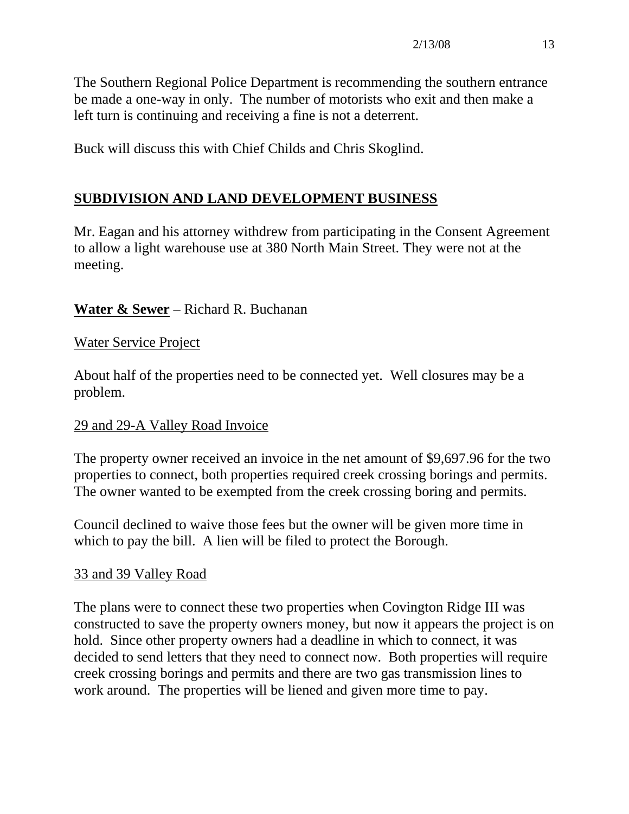The Southern Regional Police Department is recommending the southern entrance be made a one-way in only. The number of motorists who exit and then make a left turn is continuing and receiving a fine is not a deterrent.

Buck will discuss this with Chief Childs and Chris Skoglind.

# **SUBDIVISION AND LAND DEVELOPMENT BUSINESS**

Mr. Eagan and his attorney withdrew from participating in the Consent Agreement to allow a light warehouse use at 380 North Main Street. They were not at the meeting.

## **Water & Sewer** – Richard R. Buchanan

#### Water Service Project

About half of the properties need to be connected yet. Well closures may be a problem.

## 29 and 29-A Valley Road Invoice

The property owner received an invoice in the net amount of \$9,697.96 for the two properties to connect, both properties required creek crossing borings and permits. The owner wanted to be exempted from the creek crossing boring and permits.

Council declined to waive those fees but the owner will be given more time in which to pay the bill. A lien will be filed to protect the Borough.

## 33 and 39 Valley Road

The plans were to connect these two properties when Covington Ridge III was constructed to save the property owners money, but now it appears the project is on hold. Since other property owners had a deadline in which to connect, it was decided to send letters that they need to connect now. Both properties will require creek crossing borings and permits and there are two gas transmission lines to work around. The properties will be liened and given more time to pay.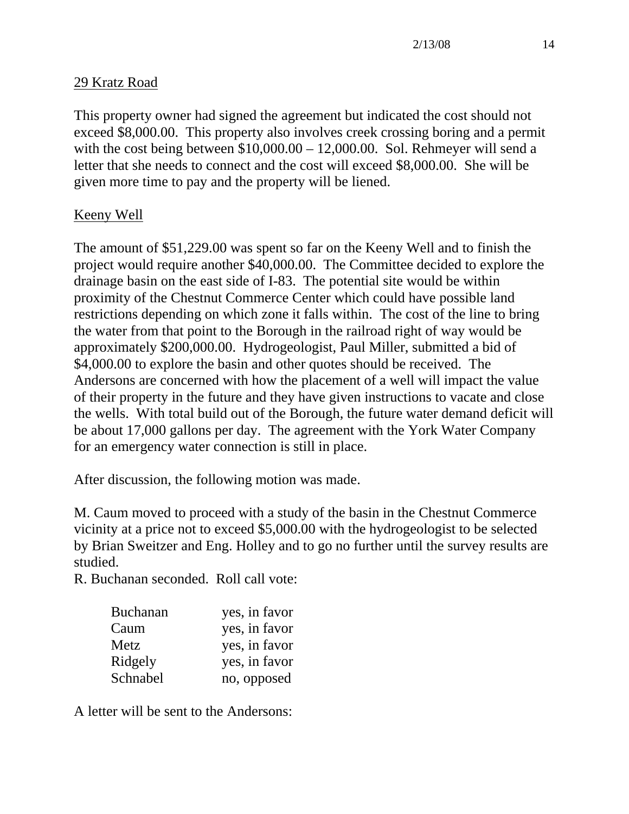## 29 Kratz Road

This property owner had signed the agreement but indicated the cost should not exceed \$8,000.00. This property also involves creek crossing boring and a permit with the cost being between  $$10,000.00 - 12,000.00$ . Sol. Rehmeyer will send a letter that she needs to connect and the cost will exceed \$8,000.00. She will be given more time to pay and the property will be liened.

## Keeny Well

The amount of \$51,229.00 was spent so far on the Keeny Well and to finish the project would require another \$40,000.00. The Committee decided to explore the drainage basin on the east side of I-83. The potential site would be within proximity of the Chestnut Commerce Center which could have possible land restrictions depending on which zone it falls within. The cost of the line to bring the water from that point to the Borough in the railroad right of way would be approximately \$200,000.00. Hydrogeologist, Paul Miller, submitted a bid of \$4,000.00 to explore the basin and other quotes should be received. The Andersons are concerned with how the placement of a well will impact the value of their property in the future and they have given instructions to vacate and close the wells. With total build out of the Borough, the future water demand deficit will be about 17,000 gallons per day. The agreement with the York Water Company for an emergency water connection is still in place.

After discussion, the following motion was made.

M. Caum moved to proceed with a study of the basin in the Chestnut Commerce vicinity at a price not to exceed \$5,000.00 with the hydrogeologist to be selected by Brian Sweitzer and Eng. Holley and to go no further until the survey results are studied.

R. Buchanan seconded. Roll call vote:

| <b>Buchanan</b> | yes, in favor |
|-----------------|---------------|
| Caum            | yes, in favor |
| Metz            | yes, in favor |
| Ridgely         | yes, in favor |
| Schnabel        | no, opposed   |

A letter will be sent to the Andersons: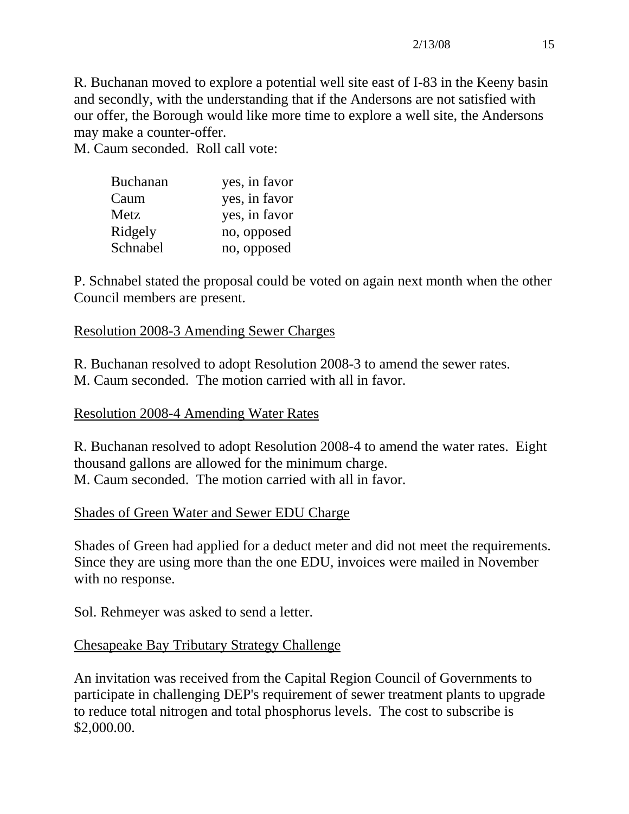R. Buchanan moved to explore a potential well site east of I-83 in the Keeny basin and secondly, with the understanding that if the Andersons are not satisfied with our offer, the Borough would like more time to explore a well site, the Andersons may make a counter-offer.

M. Caum seconded. Roll call vote:

| <b>Buchanan</b> | yes, in favor |
|-----------------|---------------|
| Caum            | yes, in favor |
| Metz            | yes, in favor |
| Ridgely         | no, opposed   |
| Schnabel        | no, opposed   |

P. Schnabel stated the proposal could be voted on again next month when the other Council members are present.

#### Resolution 2008-3 Amending Sewer Charges

R. Buchanan resolved to adopt Resolution 2008-3 to amend the sewer rates. M. Caum seconded. The motion carried with all in favor.

#### Resolution 2008-4 Amending Water Rates

R. Buchanan resolved to adopt Resolution 2008-4 to amend the water rates. Eight thousand gallons are allowed for the minimum charge. M. Caum seconded. The motion carried with all in favor.

## Shades of Green Water and Sewer EDU Charge

Shades of Green had applied for a deduct meter and did not meet the requirements. Since they are using more than the one EDU, invoices were mailed in November with no response.

Sol. Rehmeyer was asked to send a letter.

## Chesapeake Bay Tributary Strategy Challenge

An invitation was received from the Capital Region Council of Governments to participate in challenging DEP's requirement of sewer treatment plants to upgrade to reduce total nitrogen and total phosphorus levels. The cost to subscribe is \$2,000.00.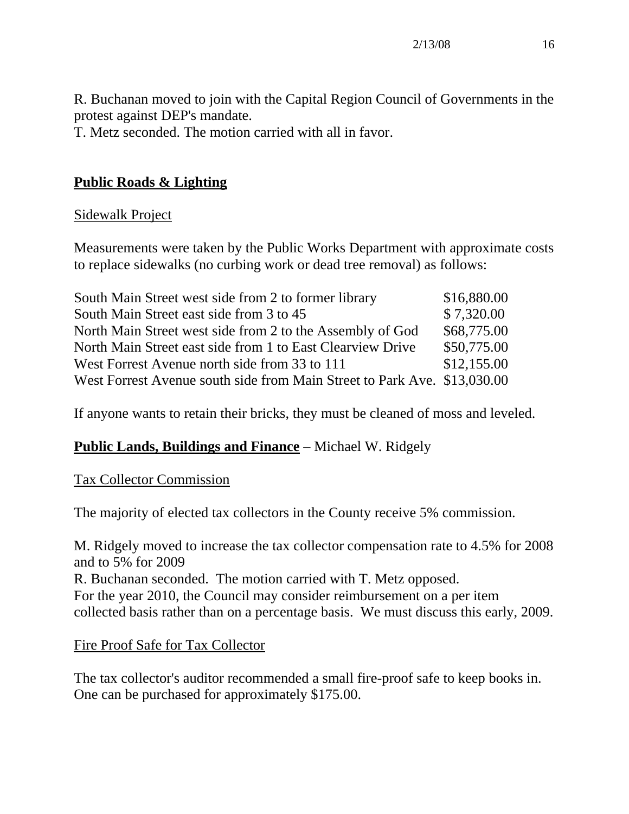R. Buchanan moved to join with the Capital Region Council of Governments in the protest against DEP's mandate.

T. Metz seconded. The motion carried with all in favor.

# **Public Roads & Lighting**

## Sidewalk Project

Measurements were taken by the Public Works Department with approximate costs to replace sidewalks (no curbing work or dead tree removal) as follows:

| South Main Street west side from 2 to former library                     | \$16,880.00 |
|--------------------------------------------------------------------------|-------------|
| South Main Street east side from 3 to 45                                 | \$7,320.00  |
| North Main Street west side from 2 to the Assembly of God                | \$68,775.00 |
| North Main Street east side from 1 to East Clearview Drive               | \$50,775.00 |
| West Forrest Avenue north side from 33 to 111                            | \$12,155.00 |
| West Forrest Avenue south side from Main Street to Park Ave. \$13,030.00 |             |

If anyone wants to retain their bricks, they must be cleaned of moss and leveled.

# **Public Lands, Buildings and Finance** – Michael W. Ridgely

## Tax Collector Commission

The majority of elected tax collectors in the County receive 5% commission.

M. Ridgely moved to increase the tax collector compensation rate to 4.5% for 2008 and to 5% for 2009 R. Buchanan seconded. The motion carried with T. Metz opposed. For the year 2010, the Council may consider reimbursement on a per item collected basis rather than on a percentage basis. We must discuss this early, 2009.

## Fire Proof Safe for Tax Collector

The tax collector's auditor recommended a small fire-proof safe to keep books in. One can be purchased for approximately \$175.00.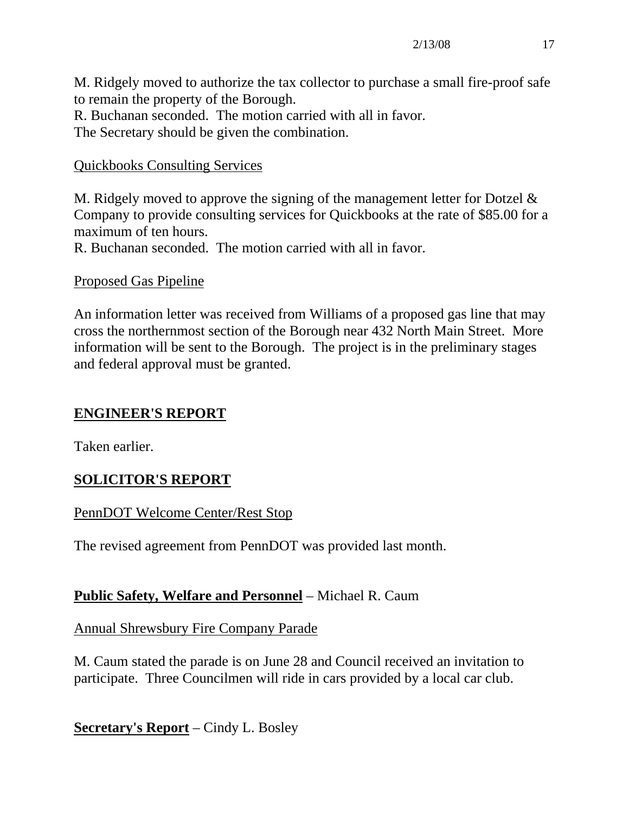M. Ridgely moved to authorize the tax collector to purchase a small fire-proof safe to remain the property of the Borough.

R. Buchanan seconded. The motion carried with all in favor.

The Secretary should be given the combination.

# Quickbooks Consulting Services

M. Ridgely moved to approve the signing of the management letter for Dotzel & Company to provide consulting services for Quickbooks at the rate of \$85.00 for a maximum of ten hours.

R. Buchanan seconded. The motion carried with all in favor.

# Proposed Gas Pipeline

An information letter was received from Williams of a proposed gas line that may cross the northernmost section of the Borough near 432 North Main Street. More information will be sent to the Borough. The project is in the preliminary stages and federal approval must be granted.

# **ENGINEER'S REPORT**

Taken earlier.

# **SOLICITOR'S REPORT**

# PennDOT Welcome Center/Rest Stop

The revised agreement from PennDOT was provided last month.

# **Public Safety, Welfare and Personnel** – Michael R. Caum

Annual Shrewsbury Fire Company Parade

M. Caum stated the parade is on June 28 and Council received an invitation to participate. Three Councilmen will ride in cars provided by a local car club.

**Secretary's Report** – Cindy L. Bosley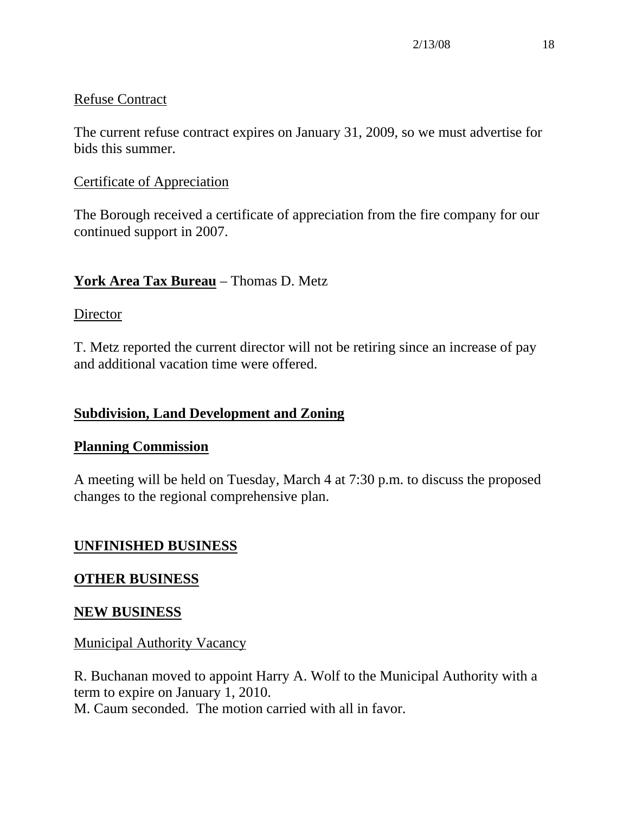## Refuse Contract

The current refuse contract expires on January 31, 2009, so we must advertise for bids this summer.

## Certificate of Appreciation

The Borough received a certificate of appreciation from the fire company for our continued support in 2007.

# **York Area Tax Bureau** – Thomas D. Metz

## **Director**

T. Metz reported the current director will not be retiring since an increase of pay and additional vacation time were offered.

# **Subdivision, Land Development and Zoning**

## **Planning Commission**

A meeting will be held on Tuesday, March 4 at 7:30 p.m. to discuss the proposed changes to the regional comprehensive plan.

# **UNFINISHED BUSINESS**

# **OTHER BUSINESS**

# **NEW BUSINESS**

# Municipal Authority Vacancy

R. Buchanan moved to appoint Harry A. Wolf to the Municipal Authority with a term to expire on January 1, 2010.

M. Caum seconded. The motion carried with all in favor.